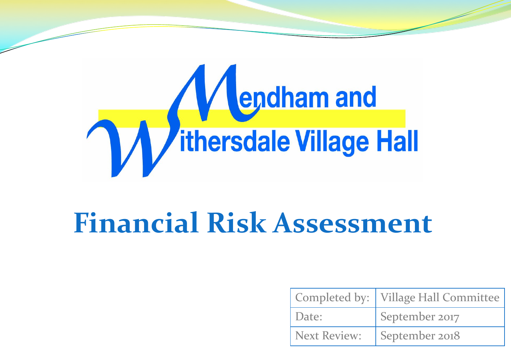

## **Financial Risk Assessment**

|              | Completed by:   Village Hall Committee |
|--------------|----------------------------------------|
| Date:        | September 2017                         |
| Next Review: | September 2018                         |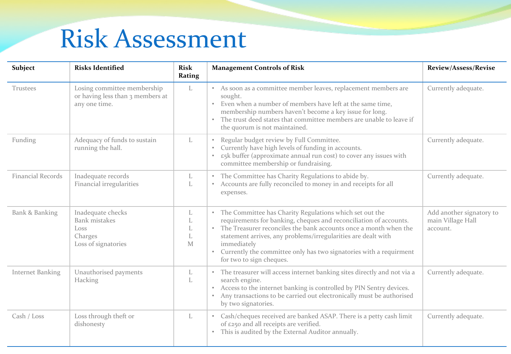## Risk Assessment

| Subject                  | <b>Risks Identified</b>                                                             | <b>Risk</b><br>Rating | <b>Management Controls of Risk</b>                                                                                                                                                                                                                                                                                                                                                       | <b>Review/Assess/Revise</b>                               |
|--------------------------|-------------------------------------------------------------------------------------|-----------------------|------------------------------------------------------------------------------------------------------------------------------------------------------------------------------------------------------------------------------------------------------------------------------------------------------------------------------------------------------------------------------------------|-----------------------------------------------------------|
| Trustees                 | Losing committee membership<br>or having less than 3 members at<br>any one time.    | L                     | • As soon as a committee member leaves, replacement members are<br>sought.<br>• Even when a number of members have left at the same time,<br>membership numbers haven't become a key issue for long.<br>• The trust deed states that committee members are unable to leave if<br>the quorum is not maintained.                                                                           | Currently adequate.                                       |
| Funding                  | Adequacy of funds to sustain<br>running the hall.                                   | L                     | Regular budget review by Full Committee.<br>Currently have high levels of funding in accounts.<br>£5k buffer (approximate annual run cost) to cover any issues with<br>committee membership or fundraising.                                                                                                                                                                              | Currently adequate.                                       |
| <b>Financial Records</b> | Inadequate records<br>Financial irregularities                                      | L<br>L                | • The Committee has Charity Regulations to abide by.<br>• Accounts are fully reconciled to money in and receipts for all<br>expenses.                                                                                                                                                                                                                                                    | Currently adequate.                                       |
| Bank & Banking           | Inadequate checks<br><b>Bank</b> mistakes<br>Loss<br>Charges<br>Loss of signatories | L<br>L<br>L<br>L<br>M | • The Committee has Charity Regulations which set out the<br>requirements for banking, cheques and reconciliation of accounts.<br>• The Treasurer reconciles the bank accounts once a month when the<br>statement arrives, any problems/irregularities are dealt with<br>immediately<br>• Currently the committee only has two signatories with a requirment<br>for two to sign cheques. | Add another signatory to<br>main Village Hall<br>account. |
| <b>Internet Banking</b>  | Unauthorised payments<br>Hacking                                                    | L<br>L                | • The treasurer will access internet banking sites directly and not via a<br>search engine.<br>• Access to the internet banking is controlled by PIN Sentry devices.<br>• Any transactions to be carried out electronically must be authorised<br>by two signatories.                                                                                                                    | Currently adequate.                                       |
| Cash / Loss              | Loss through theft or<br>dishonesty                                                 | L                     | • Cash/cheques received are banked ASAP. There is a petty cash limit<br>of £250 and all receipts are verified.<br>• This is audited by the External Auditor annually.                                                                                                                                                                                                                    | Currently adequate.                                       |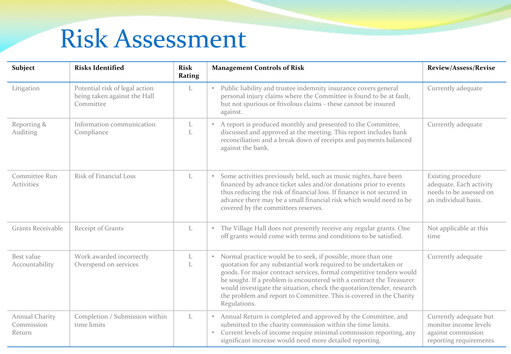## Risk Assessment

| Subject                                | <b>Risks Identified</b>                                                     | <b>Risk</b><br>Rating | <b>Management Controls of Risk</b>                                                                                                                                                                                                                                                                                                                                                                                                                | <b>Review/Assess/Revise</b>                                                                      |
|----------------------------------------|-----------------------------------------------------------------------------|-----------------------|---------------------------------------------------------------------------------------------------------------------------------------------------------------------------------------------------------------------------------------------------------------------------------------------------------------------------------------------------------------------------------------------------------------------------------------------------|--------------------------------------------------------------------------------------------------|
| Litigation                             | Potential risk of legal action<br>being taken against the Hall<br>Committee | L                     | • Public liability and trustee indemnity insurance covers general<br>personal injury claims where the Committee is found to be at fault,<br>but not spurious or frivolous claims - these cannot be insured<br>against.                                                                                                                                                                                                                            | Currently adequate                                                                               |
| Reporting &<br>Auditing                | Information communication<br>Compliance                                     | L<br>L                | • A report is produced monthly and presented to the Committee,<br>discussed and approved at the meeting. This report includes bank<br>reconciliation and a break down of receipts and payments balanced<br>against the bank.                                                                                                                                                                                                                      | Currently adequate                                                                               |
| Committee Run<br><b>Activities</b>     | Risk of Financial Loss                                                      | L                     | • Some activities previously held, such as music nights, have been<br>financed by advance ticket sales and/or donations prior to events<br>thus reducing the risk of financial loss. If finance is not secured in<br>advance there may be a small financial risk which would need to be<br>covered by the committees reserves.                                                                                                                    | Existing procedure<br>adequate. Each activity<br>needs to be assessed on<br>an individual basis. |
| Grants Receivable                      | Receipt of Grants                                                           | L                     | • The Village Hall does not presently receive any regular grants. One<br>off grants would come with terms and conditions to be satisfied.                                                                                                                                                                                                                                                                                                         | Not applicable at this<br>time                                                                   |
| Best value<br>Accountability           | Work awarded incorrectly<br>Overspend on services                           | L<br>L                | • Normal practice would be to seek, if possible, more than one<br>quotation for any substantial work required to be undertaken or<br>goods. For major contract services, formal competitive tenders would<br>be sought. If a problem is encountered with a contract the Treasurer<br>would investigate the situation, check the quotation/tender, research<br>the problem and report to Committee. This is covered in the Charity<br>Regulations. | Currently adequate                                                                               |
| Annual Charity<br>Commission<br>Return | Completion / Submission within<br>time limits                               | L                     | • Annual Return is completed and approved by the Committee, and<br>submitted to the charity commission within the time limits.<br>• Current levels of income require minimal commission reporting, any<br>significant increase would need more detailed reporting.                                                                                                                                                                                | Currently adequate but<br>monitor income levels<br>against commission<br>reporting requirements  |